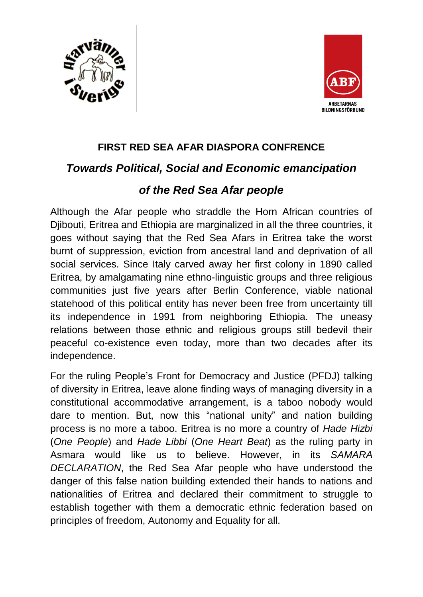



### **FIRST RED SEA AFAR DIASPORA CONFRENCE**

## *Towards Political, Social and Economic emancipation*

# *of the Red Sea Afar people*

Although the Afar people who straddle the Horn African countries of Djibouti, Eritrea and Ethiopia are marginalized in all the three countries, it goes without saying that the Red Sea Afars in Eritrea take the worst burnt of suppression, eviction from ancestral land and deprivation of all social services. Since Italy carved away her first colony in 1890 called Eritrea, by amalgamating nine ethno-linguistic groups and three religious communities just five years after Berlin Conference, viable national statehood of this political entity has never been free from uncertainty till its independence in 1991 from neighboring Ethiopia. The uneasy relations between those ethnic and religious groups still bedevil their peaceful co-existence even today, more than two decades after its independence.

For the ruling People's Front for Democracy and Justice (PFDJ) talking of diversity in Eritrea, leave alone finding ways of managing diversity in a constitutional accommodative arrangement, is a taboo nobody would dare to mention. But, now this "national unity" and nation building process is no more a taboo. Eritrea is no more a country of *Hade Hizbi* (*One People*) and *Hade Libbi* (*One Heart Beat*) as the ruling party in Asmara would like us to believe. However, in its *SAMARA DECLARATION*, the Red Sea Afar people who have understood the danger of this false nation building extended their hands to nations and nationalities of Eritrea and declared their commitment to struggle to establish together with them a democratic ethnic federation based on principles of freedom, Autonomy and Equality for all.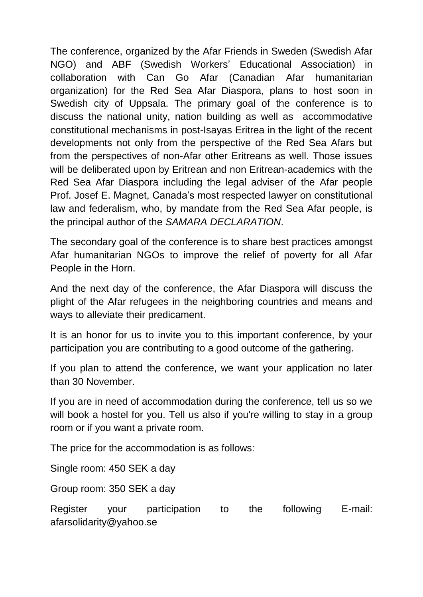The conference, organized by the Afar Friends in Sweden (Swedish Afar NGO) and ABF (Swedish Workers' Educational Association) in collaboration with Can Go Afar (Canadian Afar humanitarian organization) for the Red Sea Afar Diaspora, plans to host soon in Swedish city of Uppsala. The primary goal of the conference is to discuss the national unity, nation building as well as accommodative constitutional mechanisms in post-Isayas Eritrea in the light of the recent developments not only from the perspective of the Red Sea Afars but from the perspectives of non-Afar other Eritreans as well. Those issues will be deliberated upon by Eritrean and non Eritrean-academics with the Red Sea Afar Diaspora including the legal adviser of the Afar people Prof. Josef E. Magnet, Canada's most respected lawyer on constitutional law and federalism, who, by mandate from the Red Sea Afar people, is the principal author of the *SAMARA DECLARATION*.

The secondary goal of the conference is to share best practices amongst Afar humanitarian NGOs to improve the relief of poverty for all Afar People in the Horn.

And the next day of the conference, the Afar Diaspora will discuss the plight of the Afar refugees in the neighboring countries and means and ways to alleviate their predicament.

It is an honor for us to invite you to this important conference, by your participation you are contributing to a good outcome of the gathering.

If you plan to attend the conference, we want your application no later than 30 November.

If you are in need of accommodation during the conference, tell us so we will book a hostel for you. Tell us also if you're willing to stay in a group room or if you want a private room.

The price for the accommodation is as follows:

Single room: 450 SEK a day

Group room: 350 SEK a day

Register your participation to the following E-mail: afarsolidarity@yahoo.se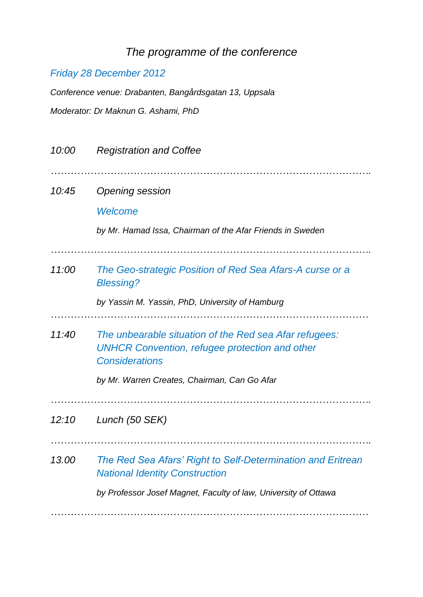# *The programme of the conference*

### *Friday 28 December 2012*

*Conference venue: Drabanten, Bangårdsgatan 13, Uppsala Moderator: Dr Maknun G. Ashami, PhD*

| 10:00 | <b>Registration and Coffee</b>                                                                                                                                                           |
|-------|------------------------------------------------------------------------------------------------------------------------------------------------------------------------------------------|
| 10:45 | <b>Opening session</b><br>Welcome<br>by Mr. Hamad Issa, Chairman of the Afar Friends in Sweden                                                                                           |
| 11:00 | The Geo-strategic Position of Red Sea Afars-A curse or a<br><b>Blessing?</b><br>by Yassin M. Yassin, PhD, University of Hamburg                                                          |
| 11:40 | The unbearable situation of the Red sea Afar refugees:<br><b>UNHCR Convention, refugee protection and other</b><br><b>Considerations</b><br>by Mr. Warren Creates, Chairman, Can Go Afar |
| 12:10 | Lunch (50 SEK)                                                                                                                                                                           |
| 13.00 | The Red Sea Afars' Right to Self-Determination and Eritrean<br><b>National Identity Construction</b><br>by Professor Josef Magnet, Faculty of law, University of Ottawa                  |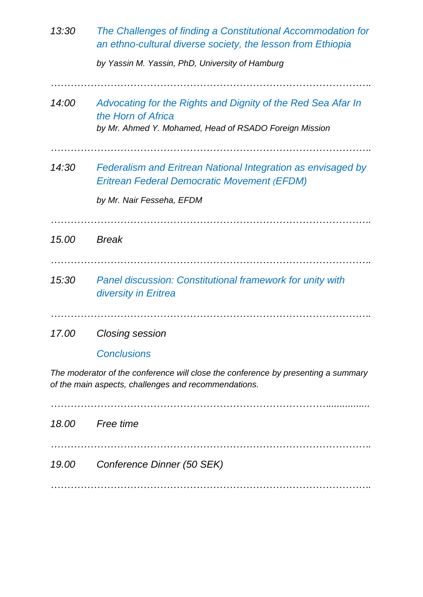| 13:30 | The Challenges of finding a Constitutional Accommodation for<br>an ethno-cultural diverse society, the lesson from Ethiopia<br>by Yassin M. Yassin, PhD, University of Hamburg |
|-------|--------------------------------------------------------------------------------------------------------------------------------------------------------------------------------|
| 14:00 | Advocating for the Rights and Dignity of the Red Sea Afar In<br>the Horn of Africa<br>by Mr. Ahmed Y. Mohamed, Head of RSADO Foreign Mission                                   |
| 14:30 | Federalism and Eritrean National Integration as envisaged by<br><b>Eritrean Federal Democratic Movement (EFDM)</b><br>by Mr. Nair Fesseha, EFDM                                |
| 15.00 | <b>Break</b>                                                                                                                                                                   |
| 15:30 | <b>Panel discussion: Constitutional framework for unity with</b><br>diversity in Eritrea                                                                                       |
| 17.00 | <b>Closing session</b>                                                                                                                                                         |
|       | <b>Conclusions</b>                                                                                                                                                             |

*The moderator of the conference will close the conference by presenting a summary of the main aspects, challenges and recommendations.*

*…………………………………………………………………………............... 18.00 Free time ……………………………………………………………………………………. 19.00 Conference Dinner (50 SEK) …………………………………………………………………………………….*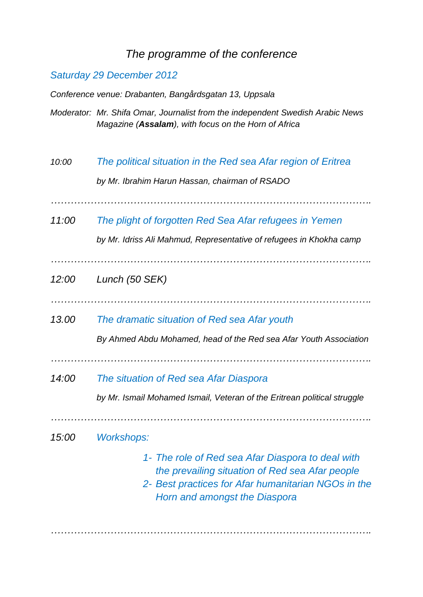### *The programme of the conference*

#### *Saturday 29 December 2012*

*Conference venue: Drabanten, Bangårdsgatan 13, Uppsala*

- *Moderator: Mr. Shifa Omar, Journalist from the independent Swedish Arabic News Magazine (Assalam), with focus on the Horn of Africa*
- *10:00 The political situation in the Red sea Afar region of Eritrea by Mr. Ibrahim Harun Hassan, chairman of RSADO*

*…………………………………………………………………………………….*

*11:00 The plight of forgotten Red Sea Afar refugees in Yemen*

*by Mr. Idriss Ali Mahmud, Representative of refugees in Khokha camp*

*…………………………………………………………………………………….*

- *12:00 Lunch (50 SEK)*
- 
- *13.00 The dramatic situation of Red sea Afar youth*

*By Ahmed Abdu Mohamed, head of the Red sea Afar Youth Association*

- *…………………………………………………………………………………….*
- *14:00 The situation of Red sea Afar Diaspora*

*by Mr. Ismail Mohamed Ismail, Veteran of the Eritrean political struggle*

*15:00 Workshops:* 

*1- The role of Red sea Afar Diaspora to deal with the prevailing situation of Red sea Afar people*

*…………………………………………………………………………………….*

*2- Best practices for Afar humanitarian NGOs in the Horn and amongst the Diaspora*

*…………………………………………………………………………………….*